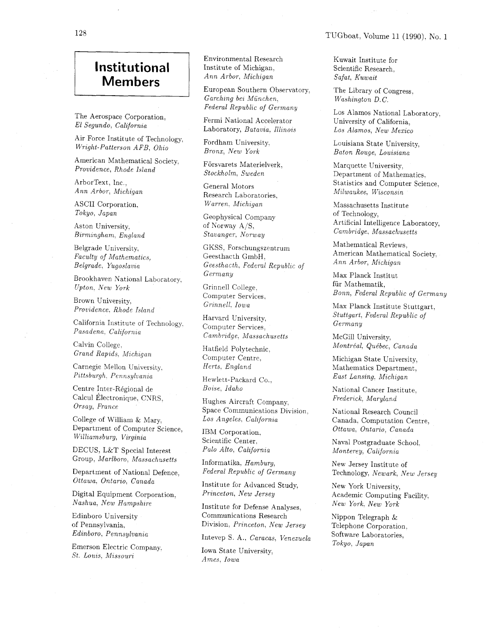## **Institutional Members**

The Aerospace Corporation. *El Segundo, Calzfornza* 

Air Force Institute of Technology, *Wright-Patterson AFB, Ohzo* 

American Mathematical Society. *Providence, Rhode Island* 

ArborText, Inc., *Ann Arbor, Michigan* 

ASCII Corporation. *Tokyo, Japan* 

Aston University.  $Birmingham, England$ 

Belgrade University. *Faculty of Mathematics. Belgrade. Yugos1az;za* 

Brookhaven National Laboratory, *Upton. New York* 

Brown University. *Provzdence. Rhode Island* 

California Institute of Technology.  $Pasadena, California$ 

Calvin College.  $Grand$  *Rapids*, *Michigan* 

Carnegie Mellon University. *Pzttsburgh. Pennsylvanza* 

Centre Inter-Régional de Calcul Électronique, CNRS, *Orsay, France* 

College of William & Mary. Department of Computer Science, *Willzam~sburg, Virginia* 

DECUS, L&T Special Interest Group, *Marlboro, Massachusetts* 

Department of National Defence, *Ottawa! Ontario, Canada* 

Digital Equipment Corporation? *Nashua: New Hampshire* 

Edinboro University of Pennsylvania.  $Edinboro, Pennsylvania$ 

Emerson Electric Company. *St. Louzs. Missouri* 

Environmental Research Institute of Michigan, *Ann Arbor, Michigan* 

European Southern Observatory, *Garching bez Miinchen, Federal Republic of Germany* 

Fermi National Accelerator Laboratory, *Batavia. Illinois* 

Fordham University. *Bronx; New York* 

Forsvarets Materielverk, *Stockholm, Sweden* 

General Motors Research Laboratories.  $Warren, Michigan$ 

Geophysical Company of Korway A/S. *Stavanger, Norway* 

GKSS. Forschungszentrum Geesthacth GmbH: *Geesthacth, Federal Republzc of Germany* 

Grinnell College. Computer Services,  $Grinnell, Iowa$ 

Harvard University, Computer Services. *Cambridge. Massachusetts* 

Hatfield Polytechnic. Computer Centre. *Herts. England* 

Hewlett-Packard Co., *Boise, Idaho* 

Hughes Aircraft Company. Space Communications Division, *Los Angeles. California* 

IBM Corporation. Scientific Center.  $Palo$  Alto, *California* 

Informatika, *Hamburg, Federal Republic of Germany* 

Institute for Advanced Study, *Princeton, New Jersey* 

Institute for Defense Analyses, Communications Research Division, *Princeton, New Jersey* 

Intevep S. A.. *Caracas, Venezuela* 

Iowa State University, *Ames. Iowa* 

Kuwait Institute for

Scientific Research,  $Safat, Kuwait$ 

The Library of Congress. *Washington D.C.* 

Los Alamos National Laboratory. University of California, *Los Alamos, New Mexico* 

Louisiana State University, *Baton Rouge, Louisiana* 

Marquette University. Department of Mathematics. Statistics and Computer Science.  $Milwaukee, Wisconsin$ 

Massachusetts Institute of Technology, Artificial Intelligence Laboratory, *Cambrzdge. Massachusetts* 

Mathematical Reviews, American Mathematical Society. *Ann Arbor, Mzchigan* 

Max Planck Institut fiir Mathematik, *Bonn, Federal Republzc of Germany* 

Max Planck Institute Stuttgart. *Stuttgart, Federal Republzc of Germany* 

McGill University, *Montre'al, Que'bec, Canada* 

Michigan State University, Mathematics Department,  $East$  *Lansing. Michigan* 

National Cancer Institute.  $Frederick$ , Maryland

National Research Council Canada. Computation Centre, *Ottawa. Ontarzo, Canada* 

Naval Postgraduate School.  $Monterey, California$ 

New Jersey Institute of Technology. *Newark, New Jersey* 

New York University, Academic Computing Facility, *New York, New York* 

Nippon Telegraph & Telephone Corporation. Software Laboratories, *Tokyo, Japan*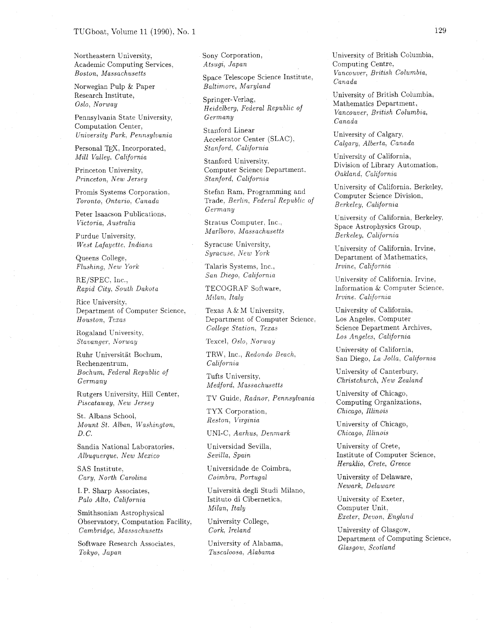Northeastern University, Academic Computing Services, *Boston, Massachusetts* 

Norwegian Pulp & Paper Research Institute, *Oslo, Norway* 

Pennsylvania State University, Computation Center, *University Park, Pennsylvania* 

Personal TFX. Incorporated, *Mzl1 Valley. Calzfornza* 

Princeton University, *Princeton, New Jersey* 

Promis Systems Corporation.  $Toronto, Ontario, Canada$ 

Peter Isaacson Publications. *Vzctorza. Australza* 

Purdue University, *West Lafayette. Indiana* 

Queens College.  $Flushing, New York$ 

RE/SPEC. Inc., *Rapzd City. South Dakota* 

Rice University. Department of Computer Science, *Houston, Texas* 

Rogaland University. *Stavanger. Norway* 

Ruhr Universitat Bochum, Rechenzentrum. *Bochum. Federal Republzc of Germany* 

Rutgers University, Hill Center. *Pzscataway, New Jersey* 

St. Albans School. *Mount St. Alban: Washington, D. C.* 

Sandia National Laboratories. *Albuquerque, New Mexico* 

SAS Institute, *Cary, North Carolina* 

I. P. Sharp Associates, *Palo Alto, California* 

Smithsonian Astrophysical Observatory, Computation Facility. *Cambridge, Massachusetts* 

Software Research Associates. *Tokyo, Japan* 

Sony Corporation. *Atsugz. Japan* 

Space Telescope Science Institute. *Baltzmore, Maryland* 

Springer-Verlag, *Hezdelberg. Federal Republzc of Germany* 

Stanford Linear Accelerator Center (SLAC). *Stanford. Calzfornza* 

Stanford University. Computer Science Department.  $Stanford, California$ 

Stefan Ram. Programming and Trade, *Berlin*, *Federal Republic of Germany* 

Stratus Computer. Inc.. *Marlboro. Massachusetts* 

Syracuse University, *Syracuse, New York* 

Talaris Systems, Inc.,  $San$  *Diego. California* 

TECOGRAF Software,  $Milan, Italy$ 

Texas A & M University, Department of Computer Science.  $Collectation, Texas$ 

Texcel, *Oslo, Norruay* 

TRW, Inc , *Redondo Beach. Calzfornza* 

Tufts University. *Medford, Massachusetts* 

TV Gulde, *Radnor, Pennsylvanza* 

TYX Corporation.  $Reston, Virginia$ 

UNI-C. *Aarhus, Denmark* 

Universidad Sevilla. *Seuzlla. Spazn* 

Universidade de Coimbra, *Cozmbra. Portugal* 

Università degli Studi Milano, Istituto di Cibernetica.  $Milan, Italy$ 

University College, *Cork. Ireland* 

University of Alabama. *Tuscaloosa, Alabama* 

University of British Columbia, Computing Centre, *Vancouver, Britzsh Columbia, Canada* 

University of British Columbia. Mathematics Department,  $Vancouver, British Columbia,$ *Canada* 

University of Calgary. *Calgary. Alberta, Canada* 

University of California, Division of Library Automation, *Oakland. Calzfornza* 

University of California. Berkeley. Computer Science Division, *Berkeley: California* 

Cniversity of California, Berkeley. Space Astrophysics Group. *Berkeley. California* 

University of California. Irvine. Department of Mathematics. *Irvine.* California

University of California. Irvine. Information & Computer Science. *Irvine. Calzfornza* 

University of California. Los Angeles, Computer Science Department Archives. *Los Angeles, California* 

University of California, San Diego, La *Jolla, California* 

University of Canterbury. *Christchurch, New Zealand* 

University of Chicago, Computing Organizations, *Chicago, Illinois* 

University of Chicago, *Chicago. Illinois* 

University of Crete, Institute of Computer Science, *Heraklio, Crete, Greece* 

University of Delaware, *Newark, Delaware* 

University of Exeter, Computer Unit. *Exeter, Devon, England* 

University of Glasgow, Department of Computing Science. *Glasgow, Scotland*